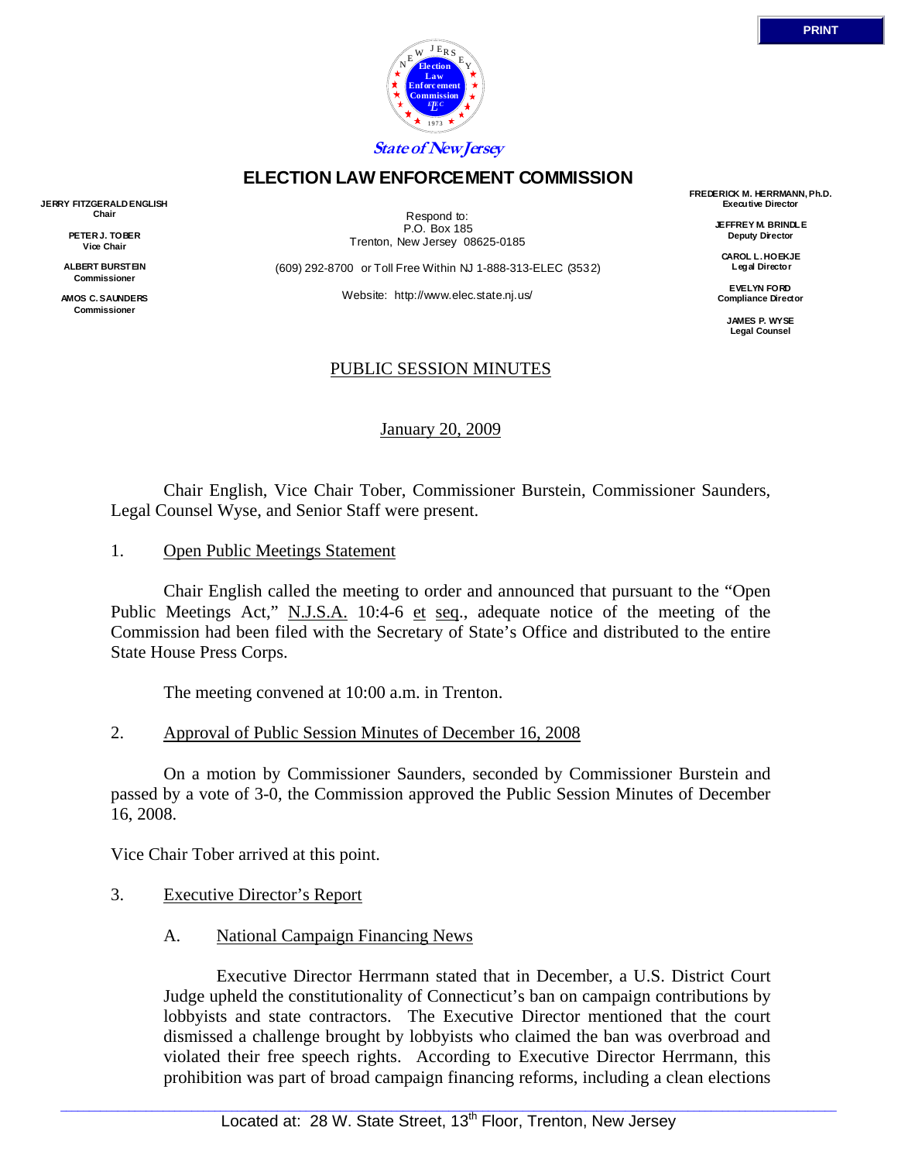

# **ELECTION LAW ENFORCEMENT COMMISSION**

**JERRY FITZGERALD ENGLISH Chair** 

> **PETER J. TOBER Vice Chair**

**ALBERT BURSTEIN Commissioner** 

**AMOS C. SAUNDERS Commissioner** 

Respond to: P.O. Box 185 Trenton, New Jersey 08625-0185

(609) 292-8700 or Toll Free Within NJ 1-888-313-ELEC (3532)

Website: http://www.elec.state.nj.us/

# PUBLIC SESSION MINUTES

January 20, 2009

 Chair English, Vice Chair Tober, Commissioner Burstein, Commissioner Saunders, Legal Counsel Wyse, and Senior Staff were present.

1. Open Public Meetings Statement

 Chair English called the meeting to order and announced that pursuant to the "Open Public Meetings Act," N.J.S.A. 10:4-6 et seq., adequate notice of the meeting of the Commission had been filed with the Secretary of State's Office and distributed to the entire State House Press Corps.

The meeting convened at 10:00 a.m. in Trenton.

2. Approval of Public Session Minutes of December 16, 2008

 On a motion by Commissioner Saunders, seconded by Commissioner Burstein and passed by a vote of 3-0, the Commission approved the Public Session Minutes of December 16, 2008.

Vice Chair Tober arrived at this point.

- 3. Executive Director's Report
	- A. National Campaign Financing News

 Executive Director Herrmann stated that in December, a U.S. District Court Judge upheld the constitutionality of Connecticut's ban on campaign contributions by lobbyists and state contractors. The Executive Director mentioned that the court dismissed a challenge brought by lobbyists who claimed the ban was overbroad and violated their free speech rights. According to Executive Director Herrmann, this prohibition was part of broad campaign financing reforms, including a clean elections

**FREDERICK M. HERRMANN, Ph.D. Executive Director** 

> **JEFFREY M. BRINDLE Deputy Director**

**CAROL L. HOEKJE Legal Director** 

**EVELYN FORD Compliance Director** 

> **JAMES P. WYSE Legal Counsel**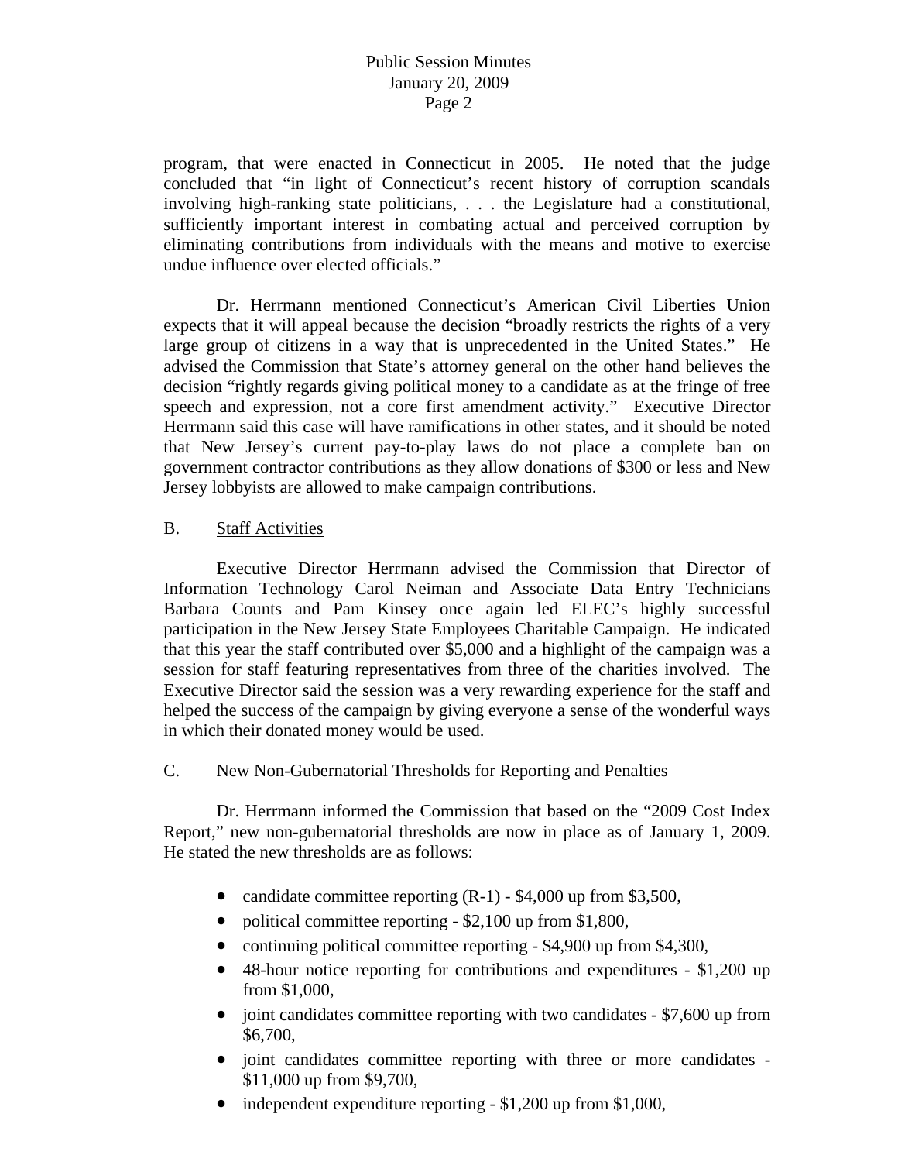# Public Session Minutes January 20, 2009 Page 2

program, that were enacted in Connecticut in 2005. He noted that the judge concluded that "in light of Connecticut's recent history of corruption scandals involving high-ranking state politicians, . . . the Legislature had a constitutional, sufficiently important interest in combating actual and perceived corruption by eliminating contributions from individuals with the means and motive to exercise undue influence over elected officials."

 Dr. Herrmann mentioned Connecticut's American Civil Liberties Union expects that it will appeal because the decision "broadly restricts the rights of a very large group of citizens in a way that is unprecedented in the United States." He advised the Commission that State's attorney general on the other hand believes the decision "rightly regards giving political money to a candidate as at the fringe of free speech and expression, not a core first amendment activity." Executive Director Herrmann said this case will have ramifications in other states, and it should be noted that New Jersey's current pay-to-play laws do not place a complete ban on government contractor contributions as they allow donations of \$300 or less and New Jersey lobbyists are allowed to make campaign contributions.

# B. Staff Activities

 Executive Director Herrmann advised the Commission that Director of Information Technology Carol Neiman and Associate Data Entry Technicians Barbara Counts and Pam Kinsey once again led ELEC's highly successful participation in the New Jersey State Employees Charitable Campaign. He indicated that this year the staff contributed over \$5,000 and a highlight of the campaign was a session for staff featuring representatives from three of the charities involved. The Executive Director said the session was a very rewarding experience for the staff and helped the success of the campaign by giving everyone a sense of the wonderful ways in which their donated money would be used.

### C. New Non-Gubernatorial Thresholds for Reporting and Penalties

 Dr. Herrmann informed the Commission that based on the "2009 Cost Index Report," new non-gubernatorial thresholds are now in place as of January 1, 2009. He stated the new thresholds are as follows:

- candidate committee reporting  $(R-1)$  \$4,000 up from \$3,500,
- political committee reporting \$2,100 up from \$1,800,
- continuing political committee reporting \$4,900 up from \$4,300,
- 48-hour notice reporting for contributions and expenditures \$1,200 up from \$1,000,
- joint candidates committee reporting with two candidates \$7,600 up from \$6,700,
- joint candidates committee reporting with three or more candidates \$11,000 up from \$9,700,
- independent expenditure reporting \$1,200 up from \$1,000,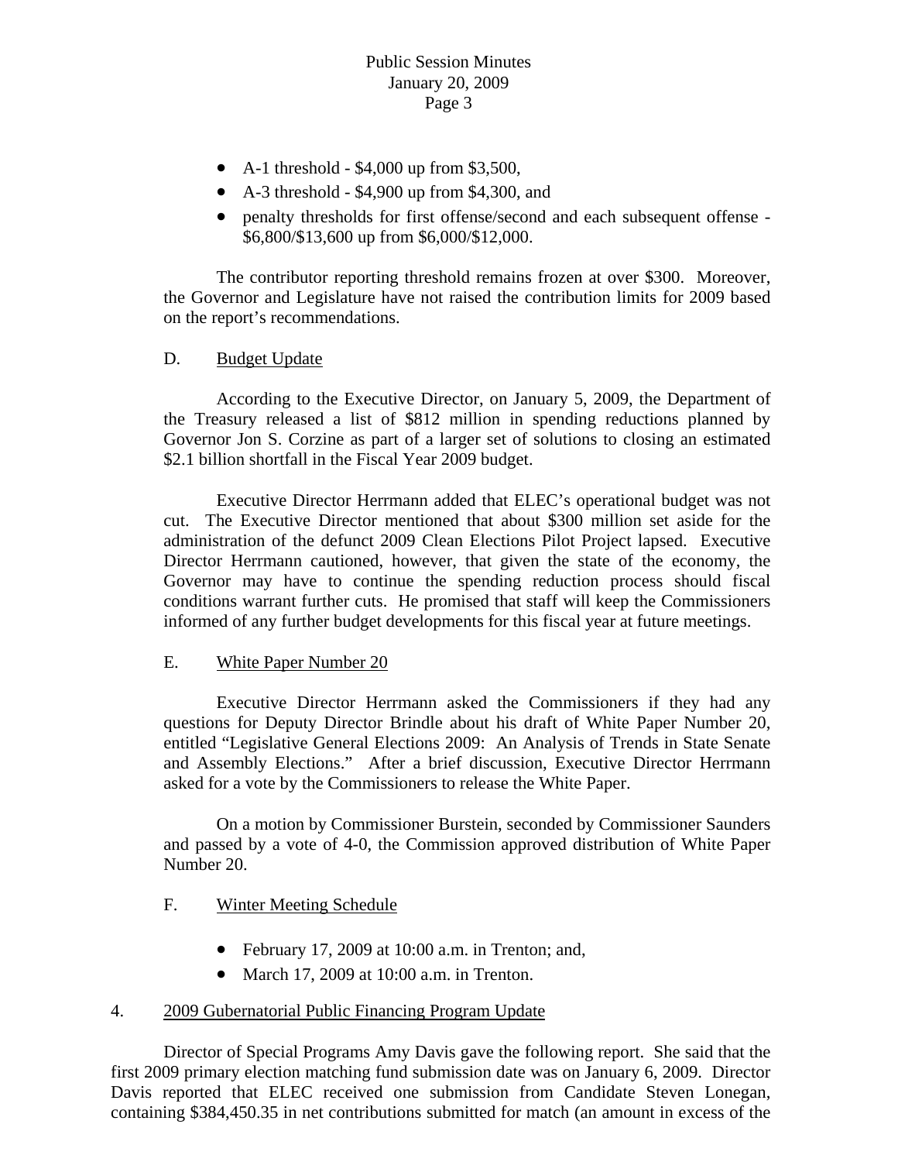- A-1 threshold  $-$  \$4,000 up from \$3,500,
- A-3 threshold \$4,900 up from \$4,300, and
- penalty thresholds for first offense/second and each subsequent offense \$6,800/\$13,600 up from \$6,000/\$12,000.

 The contributor reporting threshold remains frozen at over \$300. Moreover, the Governor and Legislature have not raised the contribution limits for 2009 based on the report's recommendations.

D. Budget Update

 According to the Executive Director, on January 5, 2009, the Department of the Treasury released a list of \$812 million in spending reductions planned by Governor Jon S. Corzine as part of a larger set of solutions to closing an estimated \$2.1 billion shortfall in the Fiscal Year 2009 budget.

 Executive Director Herrmann added that ELEC's operational budget was not cut. The Executive Director mentioned that about \$300 million set aside for the administration of the defunct 2009 Clean Elections Pilot Project lapsed. Executive Director Herrmann cautioned, however, that given the state of the economy, the Governor may have to continue the spending reduction process should fiscal conditions warrant further cuts. He promised that staff will keep the Commissioners informed of any further budget developments for this fiscal year at future meetings.

### E. White Paper Number 20

 Executive Director Herrmann asked the Commissioners if they had any questions for Deputy Director Brindle about his draft of White Paper Number 20, entitled "Legislative General Elections 2009: An Analysis of Trends in State Senate and Assembly Elections." After a brief discussion, Executive Director Herrmann asked for a vote by the Commissioners to release the White Paper.

 On a motion by Commissioner Burstein, seconded by Commissioner Saunders and passed by a vote of 4-0, the Commission approved distribution of White Paper Number 20.

### F. Winter Meeting Schedule

- February 17, 2009 at 10:00 a.m. in Trenton; and,
- March 17, 2009 at 10:00 a.m. in Trenton.

### 4. 2009 Gubernatorial Public Financing Program Update

 Director of Special Programs Amy Davis gave the following report. She said that the first 2009 primary election matching fund submission date was on January 6, 2009. Director Davis reported that ELEC received one submission from Candidate Steven Lonegan, containing \$384,450.35 in net contributions submitted for match (an amount in excess of the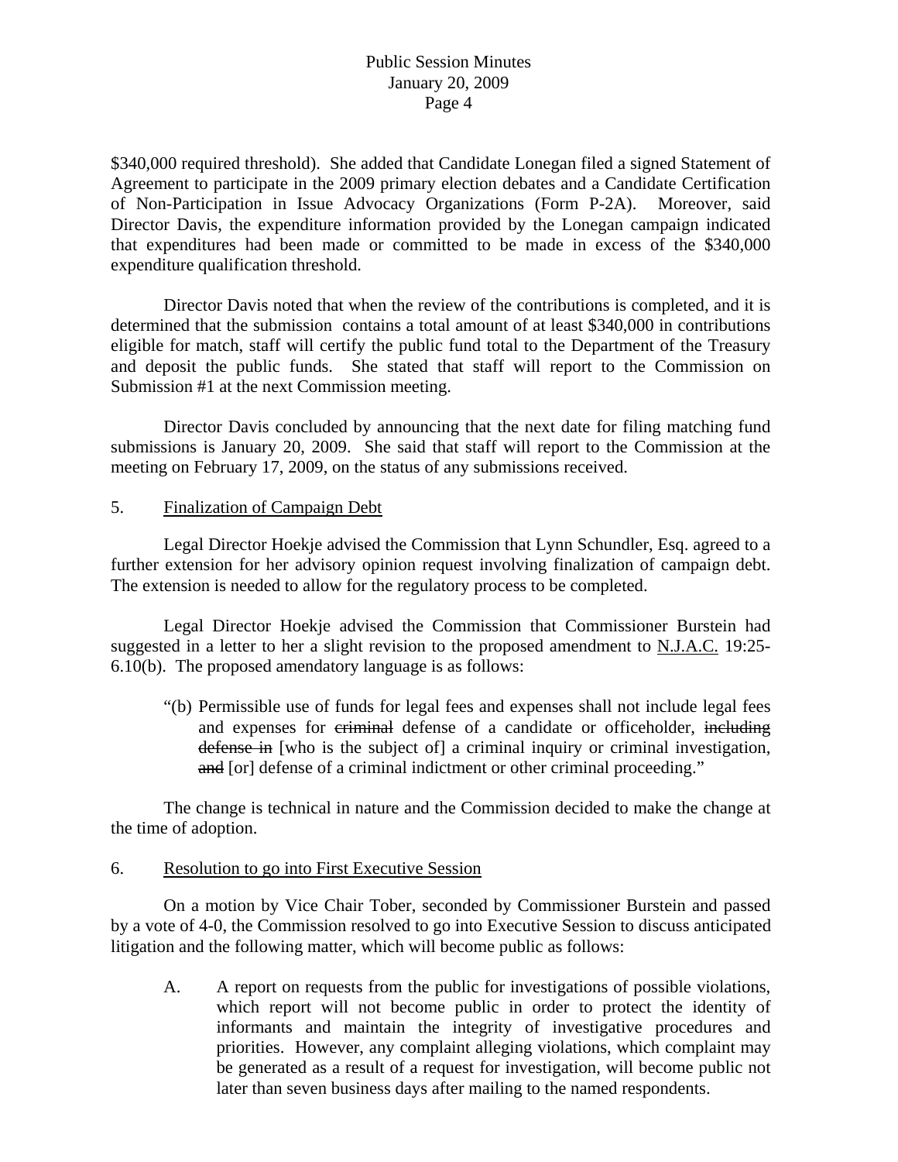# Public Session Minutes January 20, 2009 Page 4

\$340,000 required threshold). She added that Candidate Lonegan filed a signed Statement of Agreement to participate in the 2009 primary election debates and a Candidate Certification of Non-Participation in Issue Advocacy Organizations (Form P-2A). Moreover, said Director Davis, the expenditure information provided by the Lonegan campaign indicated that expenditures had been made or committed to be made in excess of the \$340,000 expenditure qualification threshold.

 Director Davis noted that when the review of the contributions is completed, and it is determined that the submission contains a total amount of at least \$340,000 in contributions eligible for match, staff will certify the public fund total to the Department of the Treasury and deposit the public funds. She stated that staff will report to the Commission on Submission #1 at the next Commission meeting.

 Director Davis concluded by announcing that the next date for filing matching fund submissions is January 20, 2009. She said that staff will report to the Commission at the meeting on February 17, 2009, on the status of any submissions received.

#### 5. Finalization of Campaign Debt

 Legal Director Hoekje advised the Commission that Lynn Schundler, Esq. agreed to a further extension for her advisory opinion request involving finalization of campaign debt. The extension is needed to allow for the regulatory process to be completed.

 Legal Director Hoekje advised the Commission that Commissioner Burstein had suggested in a letter to her a slight revision to the proposed amendment to N.J.A.C. 19:25- 6.10(b). The proposed amendatory language is as follows:

 "(b) Permissible use of funds for legal fees and expenses shall not include legal fees and expenses for criminal defense of a candidate or officeholder, including defense in [who is the subject of] a criminal inquiry or criminal investigation, and [or] defense of a criminal indictment or other criminal proceeding."

 The change is technical in nature and the Commission decided to make the change at the time of adoption.

#### 6. Resolution to go into First Executive Session

 On a motion by Vice Chair Tober, seconded by Commissioner Burstein and passed by a vote of 4-0, the Commission resolved to go into Executive Session to discuss anticipated litigation and the following matter, which will become public as follows:

 A. A report on requests from the public for investigations of possible violations, which report will not become public in order to protect the identity of informants and maintain the integrity of investigative procedures and priorities. However, any complaint alleging violations, which complaint may be generated as a result of a request for investigation, will become public not later than seven business days after mailing to the named respondents.